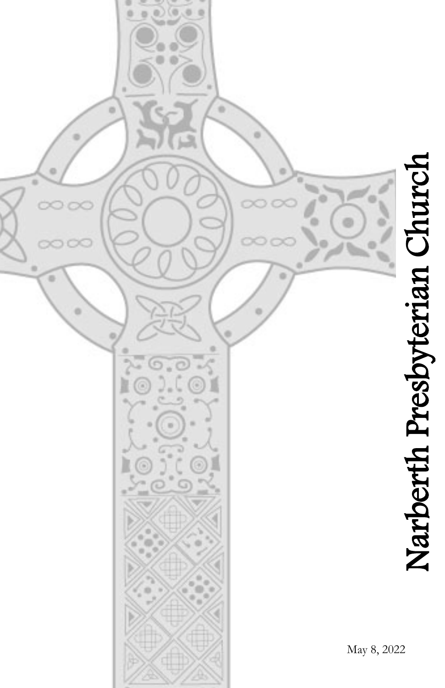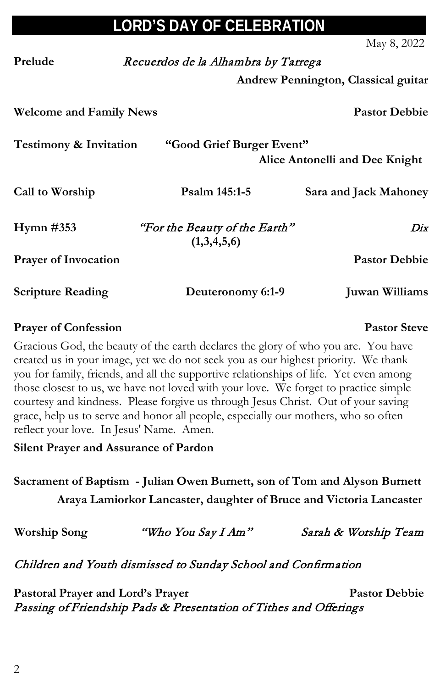# **LORD'S DAY OF CELEBRATION**

May 8, 2022

| Prelude                                                                               | Recuerdos de la Alhambra by Tarrega          |                                     |  |  |
|---------------------------------------------------------------------------------------|----------------------------------------------|-------------------------------------|--|--|
|                                                                                       |                                              | Andrew Pennington, Classical guitar |  |  |
| <b>Welcome and Family News</b>                                                        |                                              | <b>Pastor Debbie</b>                |  |  |
| Testimony & Invitation<br>"Good Grief Burger Event"<br>Alice Antonelli and Dee Knight |                                              |                                     |  |  |
| Call to Worship                                                                       | Psalm 145:1-5                                | Sara and Jack Mahoney               |  |  |
| Hymn $\#353$                                                                          | "For the Beauty of the Earth"<br>(1,3,4,5,6) | Dix                                 |  |  |
| <b>Prayer of Invocation</b>                                                           |                                              | <b>Pastor Debbie</b>                |  |  |
| <b>Scripture Reading</b>                                                              | Deuteronomy 6:1-9                            | <b>Juwan Williams</b>               |  |  |

#### **Prayer of Confession Pastor Steve**

Gracious God, the beauty of the earth declares the glory of who you are. You have created us in your image, yet we do not seek you as our highest priority. We thank you for family, friends, and all the supportive relationships of life. Yet even among those closest to us, we have not loved with your love. We forget to practice simple courtesy and kindness. Please forgive us through Jesus Christ. Out of your saving grace, help us to serve and honor all people, especially our mothers, who so often reflect your love. In Jesus' Name. Amen.

**Silent Prayer and Assurance of Pardon**

**Sacrament of Baptism - Julian Owen Burnett, son of Tom and Alyson Burnett Araya Lamiorkor Lancaster, daughter of Bruce and Victoria Lancaster**

**Worship Song** "Who You Say I Am" Sarah & Worship Team

Children and Youth dismissed to Sunday School and Confirmation

Pastoral Prayer and Lord's Prayer **Pastor Debbie** Passing of Friendship Pads & Presentation of Tithes and Offerings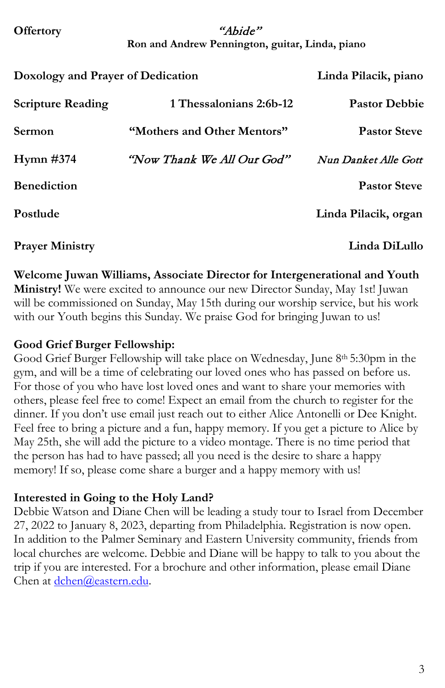#### **Offertory** "Abide" **Ron and Andrew Pennington, guitar, Linda, piano**

| Doxology and Prayer of Dedication |                             | Linda Pilacik, piano |  |
|-----------------------------------|-----------------------------|----------------------|--|
| <b>Scripture Reading</b>          | 1 Thessalonians 2:6b-12     | <b>Pastor Debbie</b> |  |
| <b>Sermon</b>                     | "Mothers and Other Mentors" | <b>Pastor Steve</b>  |  |
| Hymn $\#374$                      | "Now Thank We All Our God"  | Nun Danket Alle Gott |  |
| <b>Benediction</b>                |                             | <b>Pastor Steve</b>  |  |
| Postlude                          |                             | Linda Pilacik, organ |  |
| <b>Prayer Ministry</b>            |                             | Linda DiLullo        |  |

**Welcome Juwan Williams, Associate Director for Intergenerational and Youth Ministry!** We were excited to announce our new Director Sunday, May 1st! Juwan will be commissioned on Sunday, May 15th during our worship service, but his work with our Youth begins this Sunday. We praise God for bringing Juwan to us!

#### **Good Grief Burger Fellowship:**

Good Grief Burger Fellowship will take place on Wednesday, June 8th 5:30pm in the gym, and will be a time of celebrating our loved ones who has passed on before us. For those of you who have lost loved ones and want to share your memories with others, please feel free to come! Expect an email from the church to register for the dinner. If you don't use email just reach out to either Alice Antonelli or Dee Knight. Feel free to bring a picture and a fun, happy memory. If you get a picture to Alice by May 25th, she will add the picture to a video montage. There is no time period that the person has had to have passed; all you need is the desire to share a happy memory! If so, please come share a burger and a happy memory with us!

### **Interested in Going to the Holy Land?**

Debbie Watson and Diane Chen will be leading a study tour to Israel from December 27, 2022 to January 8, 2023, departing from Philadelphia. Registration is now open. In addition to the Palmer Seminary and Eastern University community, friends from local churches are welcome. Debbie and Diane will be happy to talk to you about the trip if you are interested. For a brochure and other information, please email Diane Chen at [dchen@eastern.edu.](mailto:dchen@eastern.edu)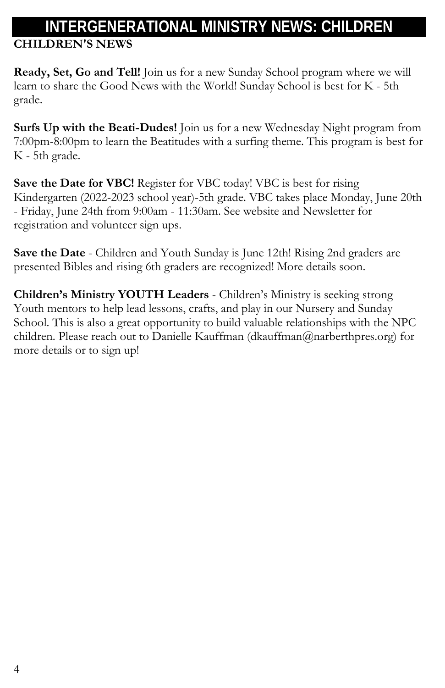# **INTERGENERATIONAL MINISTRY NEWS: CHILDREN**

# **CHILDREN'S NEWS**

**Ready, Set, Go and Tell!** Join us for a new Sunday School program where we will learn to share the Good News with the World! Sunday School is best for K - 5th grade.

**Surfs Up with the Beati-Dudes!** Join us for a new Wednesday Night program from 7:00pm-8:00pm to learn the Beatitudes with a surfing theme. This program is best for K - 5th grade.

**Save the Date for VBC!** Register for VBC today! VBC is best for rising Kindergarten (2022-2023 school year)-5th grade. VBC takes place Monday, June 20th - Friday, June 24th from 9:00am - 11:30am. See website and Newsletter for registration and volunteer sign ups.

**Save the Date** - Children and Youth Sunday is June 12th! Rising 2nd graders are presented Bibles and rising 6th graders are recognized! More details soon.

**Children's Ministry YOUTH Leaders** - Children's Ministry is seeking strong Youth mentors to help lead lessons, crafts, and play in our Nursery and Sunday School. This is also a great opportunity to build valuable relationships with the NPC children. Please reach out to Danielle Kauffman (dkauffman@narberthpres.org) for more details or to sign up!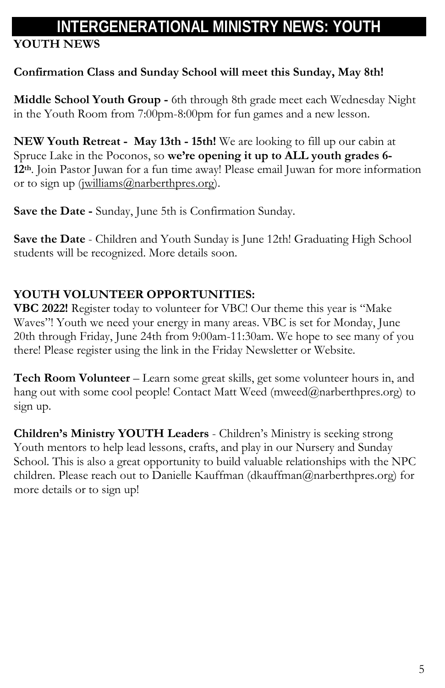# **INTERGENERATIONAL MINISTRY NEWS: YOUTH**

# **YOUTH NEWS**

# **Confirmation Class and Sunday School will meet this Sunday, May 8th!**

**Middle School Youth Group -** 6th through 8th grade meet each Wednesday Night in the Youth Room from 7:00pm-8:00pm for fun games and a new lesson.

**NEW Youth Retreat - May 13th - 15th!** We are looking to fill up our cabin at Spruce Lake in the Poconos, so **we're opening it up to ALL youth grades 6- 12th**. Join Pastor Juwan for a fun time away! Please email Juwan for more information or to sign up [\(jwilliams@narberthpres.org\)](mailto:jwilliams@narberthpres.org).

**Save the Date -** Sunday, June 5th is Confirmation Sunday.

**Save the Date** - Children and Youth Sunday is June 12th! Graduating High School students will be recognized. More details soon.

# **YOUTH VOLUNTEER OPPORTUNITIES:**

**VBC 2022!** Register today to volunteer for VBC! Our theme this year is "Make Waves"! Youth we need your energy in many areas. VBC is set for Monday, June 20th through Friday, June 24th from 9:00am-11:30am. We hope to see many of you there! Please register using the link in the Friday Newsletter or Website.

**Tech Room Volunteer** – Learn some great skills, get some volunteer hours in, and hang out with some cool people! Contact Matt Weed (mweed@narberthpres.org) to sign up.

**Children's Ministry YOUTH Leaders** - Children's Ministry is seeking strong Youth mentors to help lead lessons, crafts, and play in our Nursery and Sunday School. This is also a great opportunity to build valuable relationships with the NPC children. Please reach out to Danielle Kauffman (dkauffman@narberthpres.org) for more details or to sign up!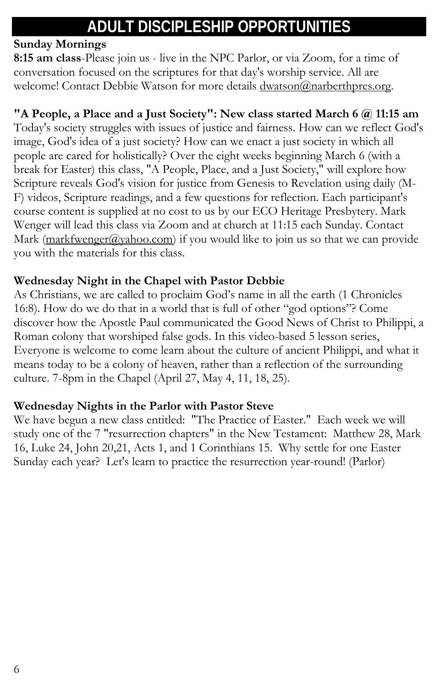# **ADULT DISCIPLESHIP OPPORTUNITIES**

### **Sunday Mornings**

**8:15 am class**-Please join us - live in the NPC Parlor, or via Zoom, for a time of conversation focused on the scriptures for that day's worship service. All are welcome! Contact Debbie Watson for more details  $d$ watson@narberthpres.org.

### **"A People, a Place and a Just Society": New class started March 6 @ 11:15 am**

Today's society struggles with issues of justice and fairness. How can we reflect God's image, God's idea of a just society? How can we enact a just society in which all people are cared for holistically? Over the eight weeks beginning March 6 (with a break for Easter) this class, "A People, Place, and a Just Society," will explore how Scripture reveals God's vision for justice from Genesis to Revelation using daily (M-F) videos, Scripture readings, and a few questions for reflection. Each participant's course content is supplied at no cost to us by our ECO Heritage Presbytery. Mark Wenger will lead this class via Zoom and at church at 11:15 each Sunday. Contact Mark [\(markfwenger@yahoo.com\)](mailto:mswenger@yahoo.com) if you would like to join us so that we can provide you with the materials for this class.

### **Wednesday Night in the Chapel with Pastor Debbie**

As Christians, we are called to proclaim God's name in all the earth (1 Chronicles 16:8). How do we do that in a world that is full of other "god options"? Come discover how the Apostle Paul communicated the Good News of Christ to Philippi, a Roman colony that worshiped false gods. In this video-based 5 lesson series, Everyone is welcome to come learn about the culture of ancient Philippi, and what it means today to be a colony of heaven, rather than a reflection of the surrounding culture. 7-8pm in the Chapel (April 27, May 4, 11, 18, 25).

### **Wednesday Nights in the Parlor with Pastor Steve**

We have begun a new class entitled: "The Practice of Easter." Each week we will study one of the 7 "resurrection chapters" in the New Testament: Matthew 28, Mark 16, Luke 24, John 20,21, Acts 1, and 1 Corinthians 15. Why settle for one Easter Sunday each year? Let's learn to practice the resurrection year-round! (Parlor)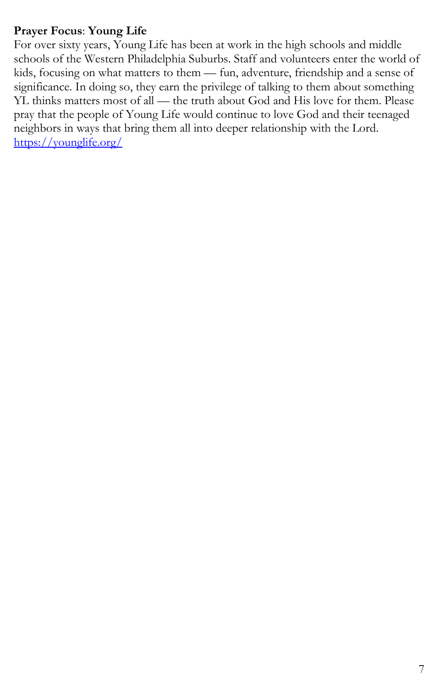#### **Prayer Focus**: **Young Life**

For over sixty years, Young Life has been at work in the high schools and middle schools of the Western Philadelphia Suburbs. Staff and volunteers enter the world of kids, focusing on what matters to them — fun, adventure, friendship and a sense of significance. In doing so, they earn the privilege of talking to them about something YL thinks matters most of all — the truth about God and His love for them. Please pray that the people of Young Life would continue to love God and their teenaged neighbors in ways that bring them all into deeper relationship with the Lord. <https://younglife.org/>